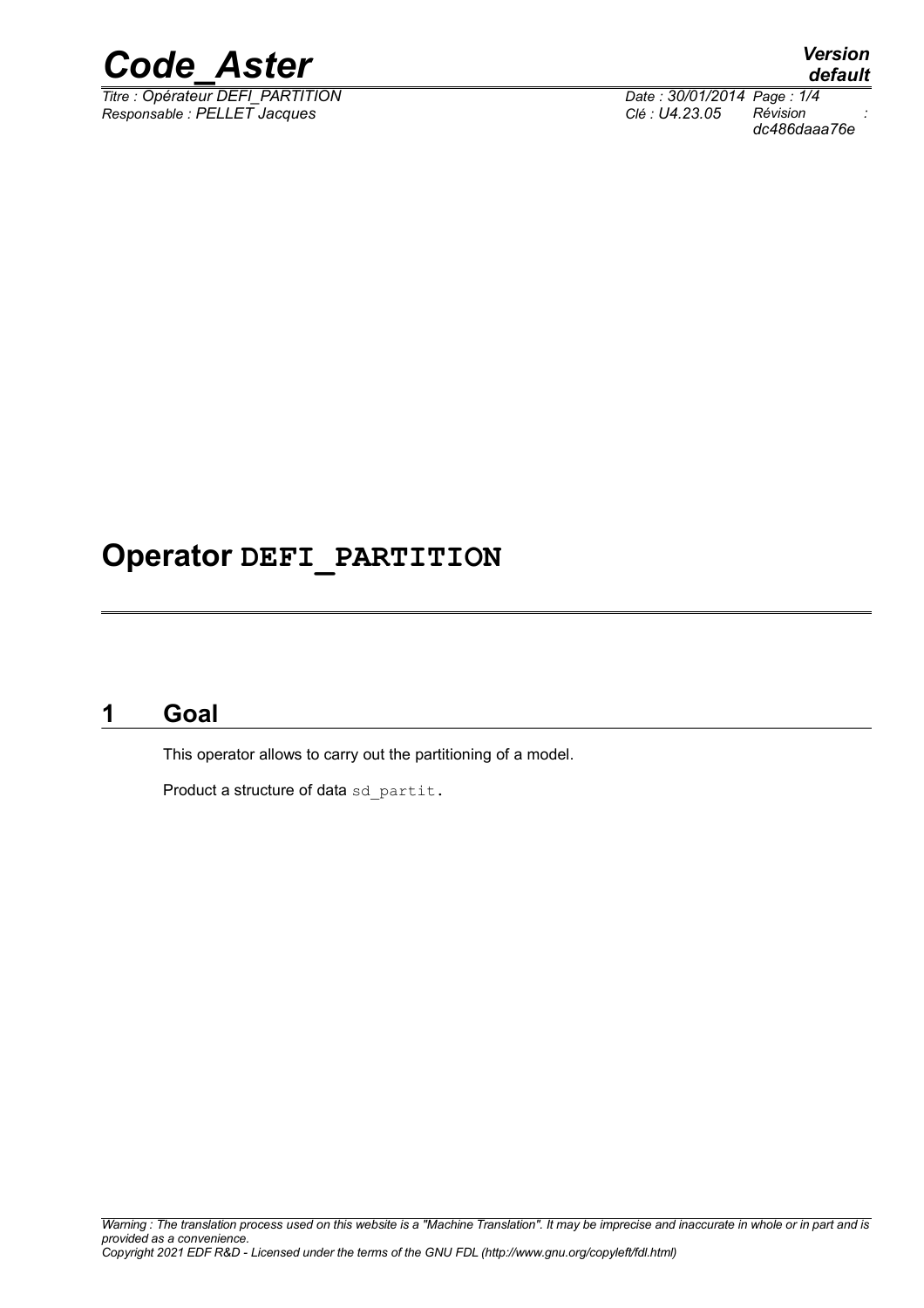

*Titre : Opérateur DEFI\_PARTITION Date : 30/01/2014 Page : 1/4 Responsable : PELLET Jacques Clé : U4.23.05 Révision :*

*default dc486daaa76e*

## **Operator DEFI\_PARTITION**

### **1 Goal**

This operator allows to carry out the partitioning of a model.

Product a structure of data sd partit.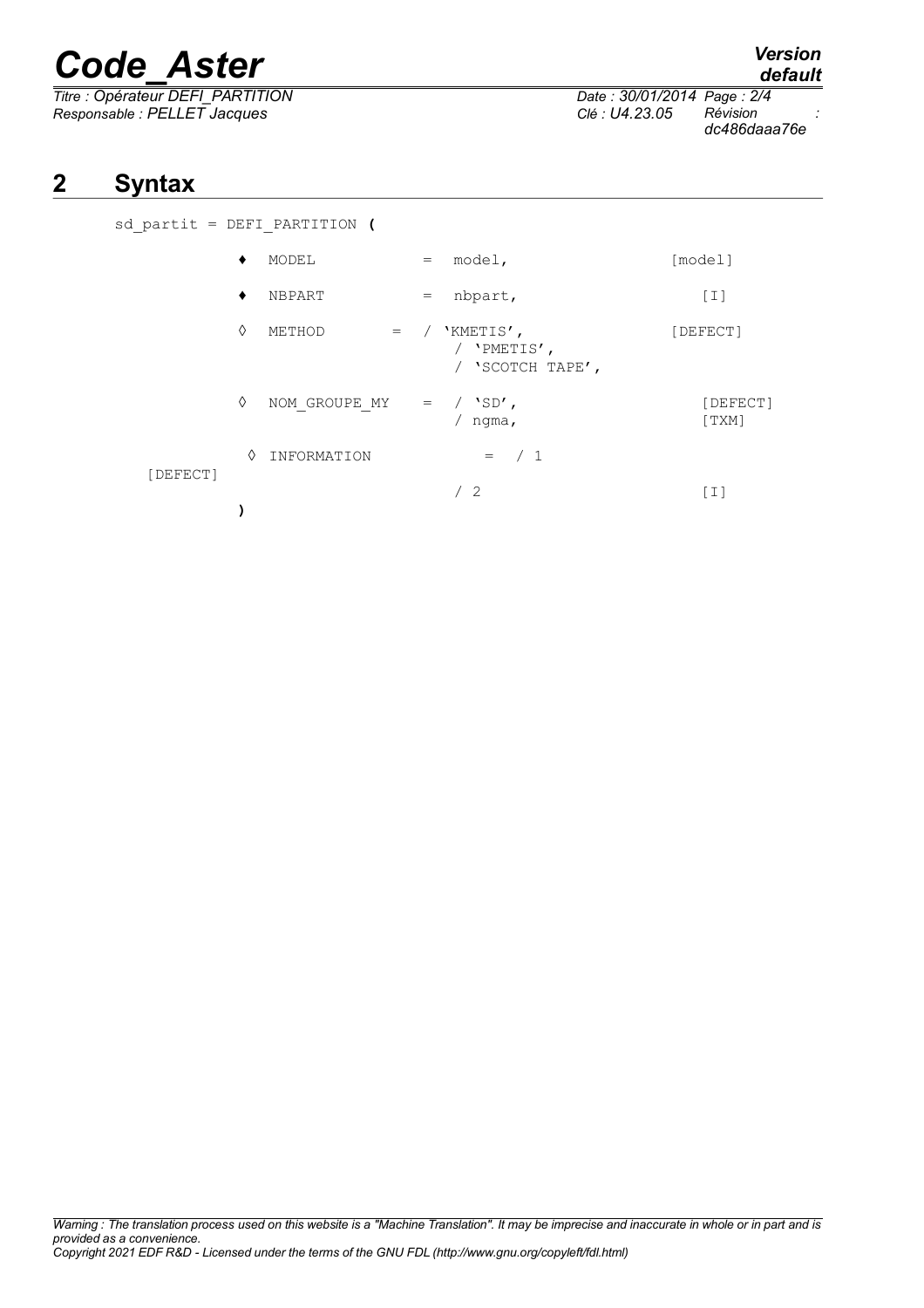# *Code\_Aster Version*

*Titre : Opérateur DEFI\_PARTITION Date : 30/01/2014 Page : 2/4 Responsable : PELLET Jacques Clé : U4.23.05 Révision :*

*dc486daaa76e*

## **2 Syntax**

| sd partit = DEFI PARTITION |  |
|----------------------------|--|
|----------------------------|--|

|          |   | MODEL                     | $=$                               | model,                                                            | [model]           |
|----------|---|---------------------------|-----------------------------------|-------------------------------------------------------------------|-------------------|
|          |   | <b>NBPART</b>             | $\hspace{1.0cm} = \hspace{1.0cm}$ | nbpart,                                                           | $[1]$             |
|          | ♦ | METHOD<br>$=$             | $\overline{\phantom{a}}$          | 'KMETIS',<br>/ 'PMETIS',<br>/ 'SCOTCH TAPE',                      | [DEFECT]          |
|          | ♦ | NOM GROUPE MY $=$ / 'SD', |                                   | ngma,                                                             | [DEFECT]<br>[TXM] |
| [DEFECT] | ♦ | INFORMATION               |                                   | /1<br>$=$                                                         |                   |
|          |   |                           |                                   | $\begin{array}{cc} \begin{array}{cc} \end{array} & 2 \end{array}$ | $\lceil 1 \rceil$ |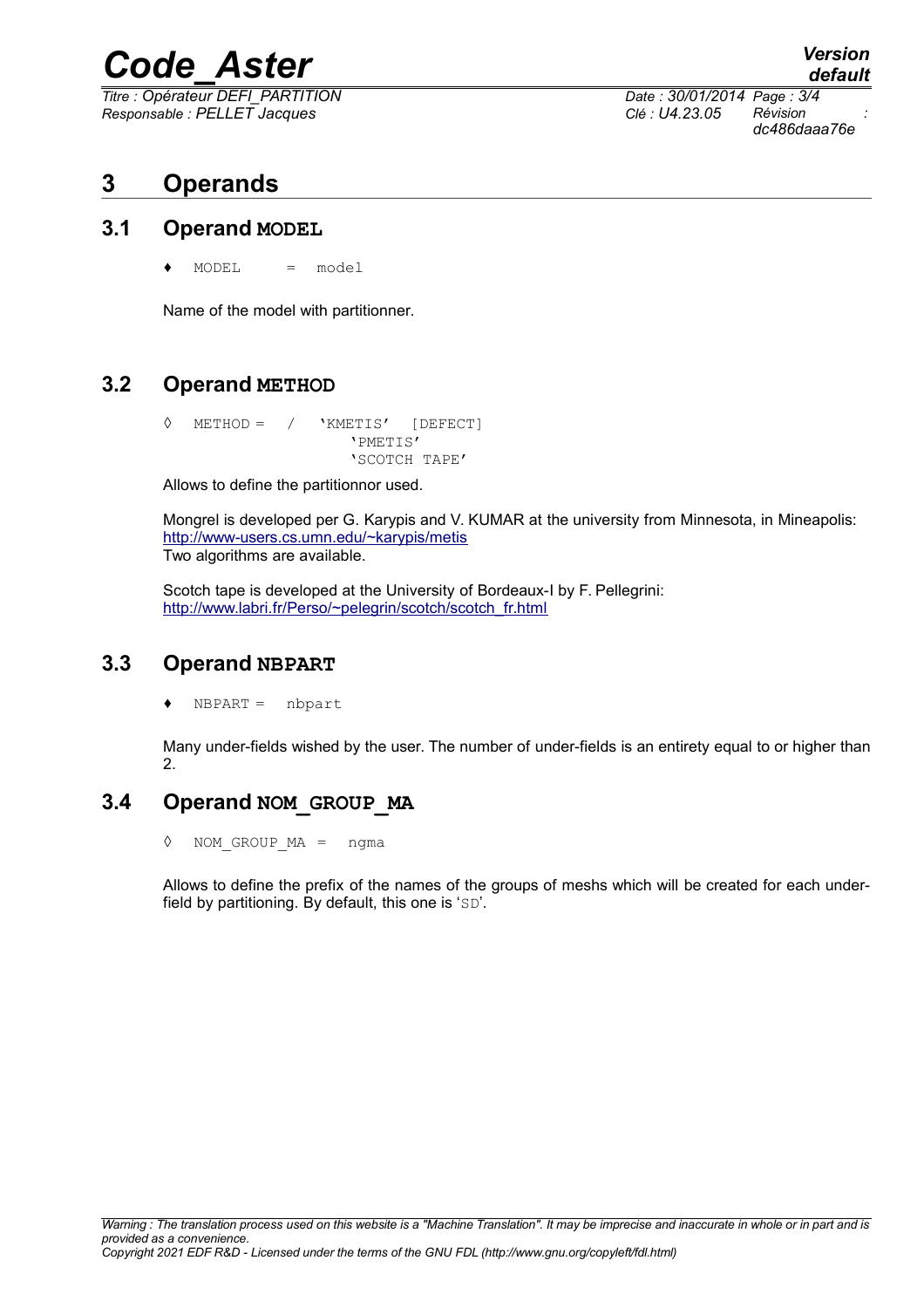# *Code\_Aster Version*

*Titre : Opérateur DEFI\_PARTITION Date : 30/01/2014 Page : 3/4 Responsable : PELLET Jacques Clé : U4.23.05 Révision :*

*default*

*dc486daaa76e*

## **3 Operands**

#### **3.1 Operand MODEL**

 $MODEL = model$ 

Name of the model with partitionner.

### **3.2 Operand METHOD**

◊ METHOD = / 'KMETIS' [DEFECT] 'PMETIS' 'SCOTCH TAPE'

Allows to define the partitionnor used.

Mongrel is developed per G. Karypis and V. KUMAR at the university from Minnesota, in Mineapolis: <http://www-users.cs.umn.edu/~karypis/metis> Two algorithms are available.

Scotch tape is developed at the University of Bordeaux-I by F. Pellegrini: [http://www.labri.fr/Perso/~pelegrin/scotch/scotch\\_fr.html](http://www.labri.fr/Perso/~pelegrin/scotch/scotch_fr.html)

#### **3.3 Operand NBPART**

♦ NBPART = nbpart

Many under-fields wished by the user. The number of under-fields is an entirety equal to or higher than  $\mathcal{P}$ 

### **3.4 Operand NOM\_GROUP\_MA**

◊ NOM\_GROUP\_MA = ngma

Allows to define the prefix of the names of the groups of meshs which will be created for each underfield by partitioning. By default, this one is 'SD'.